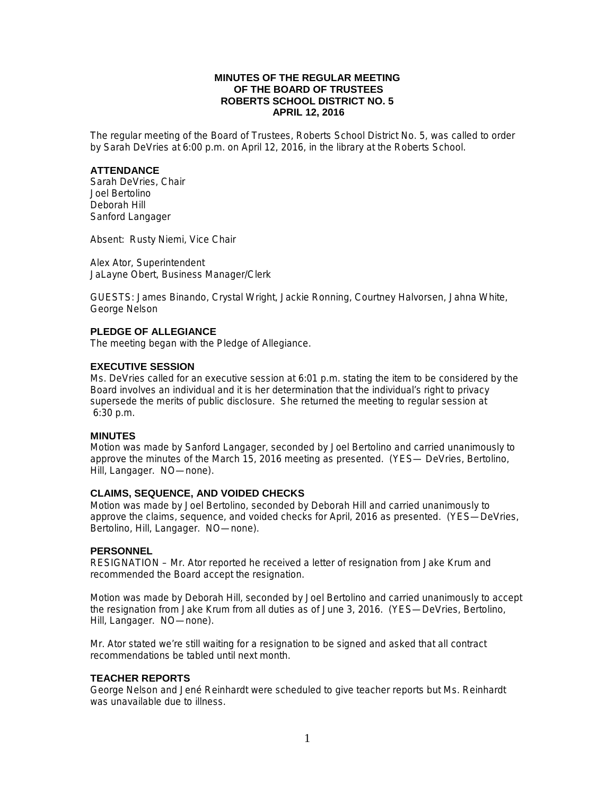### **MINUTES OF THE REGULAR MEETING OF THE BOARD OF TRUSTEES ROBERTS SCHOOL DISTRICT NO. 5 APRIL 12, 2016**

The regular meeting of the Board of Trustees, Roberts School District No. 5, was called to order by Sarah DeVries at 6:00 p.m. on April 12, 2016, in the library at the Roberts School.

#### **ATTENDANCE**

Sarah DeVries, Chair Joel Bertolino Deborah Hill Sanford Langager

Absent: Rusty Niemi, Vice Chair

Alex Ator, Superintendent JaLayne Obert, Business Manager/Clerk

GUESTS: James Binando, Crystal Wright, Jackie Ronning, Courtney Halvorsen, Jahna White, George Nelson

### **PLEDGE OF ALLEGIANCE**

The meeting began with the Pledge of Allegiance.

### **EXECUTIVE SESSION**

Ms. DeVries called for an executive session at 6:01 p.m. stating the item to be considered by the Board involves an individual and it is her determination that the individual's right to privacy supersede the merits of public disclosure. She returned the meeting to regular session at 6:30 p.m.

## **MINUTES**

Motion was made by Sanford Langager, seconded by Joel Bertolino and carried unanimously to approve the minutes of the March 15, 2016 meeting as presented. (YES— DeVries, Bertolino, Hill, Langager. NO—none).

## **CLAIMS, SEQUENCE, AND VOIDED CHECKS**

Motion was made by Joel Bertolino, seconded by Deborah Hill and carried unanimously to approve the claims, sequence, and voided checks for April, 2016 as presented. (YES—DeVries, Bertolino, Hill, Langager. NO—none).

### **PERSONNEL**

RESIGNATION – Mr. Ator reported he received a letter of resignation from Jake Krum and recommended the Board accept the resignation.

Motion was made by Deborah Hill, seconded by Joel Bertolino and carried unanimously to accept the resignation from Jake Krum from all duties as of June 3, 2016. (YES—DeVries, Bertolino, Hill, Langager. NO—none).

Mr. Ator stated we're still waiting for a resignation to be signed and asked that all contract recommendations be tabled until next month.

#### **TEACHER REPORTS**

George Nelson and Jené Reinhardt were scheduled to give teacher reports but Ms. Reinhardt was unavailable due to illness.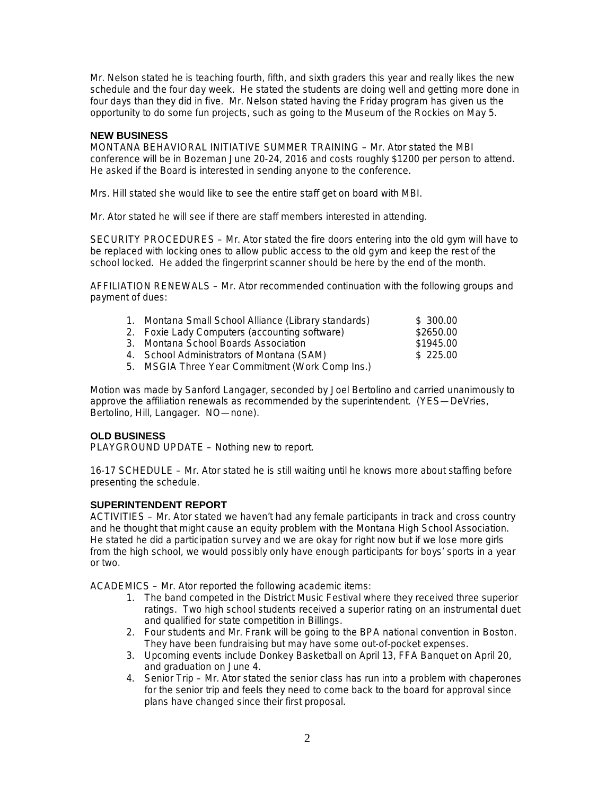Mr. Nelson stated he is teaching fourth, fifth, and sixth graders this year and really likes the new schedule and the four day week. He stated the students are doing well and getting more done in four days than they did in five. Mr. Nelson stated having the Friday program has given us the opportunity to do some fun projects, such as going to the Museum of the Rockies on May 5.

## **NEW BUSINESS**

MONTANA BEHAVIORAL INITIATIVE SUMMER TRAINING – Mr. Ator stated the MBI conference will be in Bozeman June 20-24, 2016 and costs roughly \$1200 per person to attend. He asked if the Board is interested in sending anyone to the conference.

Mrs. Hill stated she would like to see the entire staff get on board with MBI.

Mr. Ator stated he will see if there are staff members interested in attending.

SECURITY PROCEDURES – Mr. Ator stated the fire doors entering into the old gym will have to be replaced with locking ones to allow public access to the old gym and keep the rest of the school locked. He added the fingerprint scanner should be here by the end of the month.

AFFILIATION RENEWALS – Mr. Ator recommended continuation with the following groups and payment of dues:

| 1. Montana Small School Alliance (Library standards) | \$ 300.00 |
|------------------------------------------------------|-----------|
| 2. Foxie Lady Computers (accounting software)        | \$2650.00 |
| 3. Montana School Boards Association                 | \$1945.00 |
| 4. School Administrators of Montana (SAM)            | \$225.00  |

5. MSGIA Three Year Commitment (Work Comp Ins.)

Motion was made by Sanford Langager, seconded by Joel Bertolino and carried unanimously to approve the affiliation renewals as recommended by the superintendent. (YES—DeVries, Bertolino, Hill, Langager. NO—none).

# **OLD BUSINESS**

PLAYGROUND UPDATE – Nothing new to report.

16-17 SCHEDULE – Mr. Ator stated he is still waiting until he knows more about staffing before presenting the schedule.

# **SUPERINTENDENT REPORT**

ACTIVITIES – Mr. Ator stated we haven't had any female participants in track and cross country and he thought that might cause an equity problem with the Montana High School Association. He stated he did a participation survey and we are okay for right now but if we lose more girls from the high school, we would possibly only have enough participants for boys' sports in a year or two.

ACADEMICS – Mr. Ator reported the following academic items:

- 1. The band competed in the District Music Festival where they received three superior ratings. Two high school students received a superior rating on an instrumental duet and qualified for state competition in Billings.
- 2. Four students and Mr. Frank will be going to the BPA national convention in Boston. They have been fundraising but may have some out-of-pocket expenses.
- 3. Upcoming events include Donkey Basketball on April 13, FFA Banquet on April 20, and graduation on June 4.
- 4. Senior Trip Mr. Ator stated the senior class has run into a problem with chaperones for the senior trip and feels they need to come back to the board for approval since plans have changed since their first proposal.